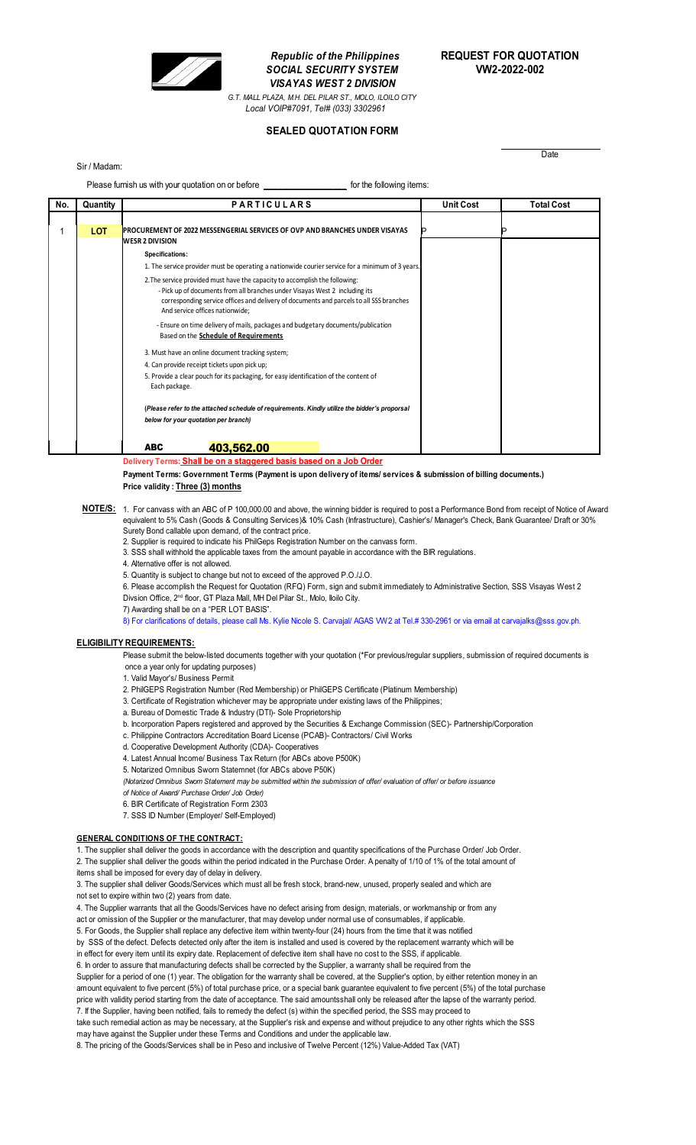

**SOCIAL SECURITY SYSTEM** *VISAYAS WEST 2 DIVISION G.T. MALL PLAZA, M.H. DEL PILAR ST., MOLO, ILOILO CITY*

# *Republic of the Philippines* **REQUEST FOR QUOTATION**

**Date** 

*Local VOIP#7091, Tel# (033) 3302961*

**SEALED QUOTATION FORM**

### Sir / Madam:

Please furnish us with your quotation on or before **\_\_\_\_\_\_\_\_\_\_\_\_\_\_\_\_\_\_** for the following items:

| No. | Quantity   | <b>PARTICULARS</b>                                                                                                                                                                                        | <b>Unit Cost</b> | <b>Total Cost</b> |
|-----|------------|-----------------------------------------------------------------------------------------------------------------------------------------------------------------------------------------------------------|------------------|-------------------|
|     | <b>LOT</b> | PROCUREMENT OF 2022 MESSENGERIAL SERVICES OF OVP AND BRANCHES UNDER VISAYAS<br><b>WESR 2 DIVISION</b>                                                                                                     |                  |                   |
|     |            | Specifications:                                                                                                                                                                                           |                  |                   |
|     |            | 1. The service provider must be operating a nationwide courier service for a minimum of 3 years.                                                                                                          |                  |                   |
|     |            | 2. The service provided must have the capacity to accomplish the following:                                                                                                                               |                  |                   |
|     |            | - Pick up of documents from all branches under Visayas West 2 including its<br>corresponding service offices and delivery of documents and parcels to all SSS branches<br>And service offices nationwide; |                  |                   |
|     |            | - Ensure on time delivery of mails, packages and budgetary documents/publication<br>Based on the Schedule of Requirements                                                                                 |                  |                   |
|     |            | 3. Must have an online document tracking system;                                                                                                                                                          |                  |                   |
|     |            | 4. Can provide receipt tickets upon pick up;                                                                                                                                                              |                  |                   |
|     |            | 5. Provide a clear pouch for its packaging, for easy identification of the content of<br>Each package.                                                                                                    |                  |                   |
|     |            | (Please refer to the attached schedule of requirements. Kindly utilize the bidder's proporsal                                                                                                             |                  |                   |
|     |            | below for your quotation per branch)                                                                                                                                                                      |                  |                   |
|     |            | <b>ABC</b><br>403,562,00                                                                                                                                                                                  |                  |                   |

**Delivery Terms: Shall be on a staggered basis based on a Job Order**

**Payment Terms: Government Terms (Payment is upon delivery of items/ services & submission of billing documents.) Price validity : Three (3) months**

- **NOTE/S:** 1. For canvass with an ABC of P 100,000.00 and above, the winning bidder is required to post a Performance Bond from receipt of Notice of Award equivalent to 5% Cash (Goods & Consulting Services)& 10% Cash (Infrastructure), Cashier's/ Manager's Check, Bank Guarantee/ Draft or 30% Surety Bond callable upon demand, of the contract price.
	- 2. Supplier is required to indicate his PhilGeps Registration Number on the canvass form.
	- 3. SSS shall withhold the applicable taxes from the amount payable in accordance with the BIR regulations.
	- 4. Alternative offer is not allowed.
	- 5. Quantity is subject to change but not to exceed of the approved P.O./J.O.
	- 6. Please accomplish the Request for Quotation (RFQ) Form, sign and submit immediately to Administrative Section, SSS Visayas West 2 Divsion Office, 2<sup>nd</sup> floor, GT Plaza Mall, MH Del Pilar St., Molo, Iloilo City.
	- 7) Awarding shall be on a "PER LOT BASIS".
	- 8) For clarifications of details, please call Ms. Kylie Nicole S. Carvajal/ AGAS VW2 at Tel.# 330-2961 or via email at carvajalks@sss.gov.ph.

#### **ELIGIBILITY REQUIREMENTS:**

Please submit the below-listed documents together with your quotation (\*For previous/regular suppliers, submission of required documents is once a year only for updating purposes)

- 1. Valid Mayor's/ Business Permit
- 2. PhilGEPS Registration Number (Red Membership) or PhilGEPS Certificate (Platinum Membership)
- 3. Certificate of Registration whichever may be appropriate under existing laws of the Philippines;
- a. Bureau of Domestic Trade & Industry (DTI)- Sole Proprietorship
- b. Incorporation Papers registered and approved by the Securities & Exchange Commission (SEC)- Partnership/Corporation
- c. Philippine Contractors Accreditation Board License (PCAB)- Contractors/ Civil Works
- d. Cooperative Development Authority (CDA)- Cooperatives
- 4. Latest Annual Income/ Business Tax Return (for ABCs above P500K)
- 5. Notarized Omnibus Sworn Statemnet (for ABCs above P50K)
- *(Notarized Omnibus Sworn Statement may be submitted within the submission of offer/ evaluation of offer/ or before issuance*
- *of Notice of Award/ Purchase Order/ Job Order)*
- 6. BIR Certificate of Registration Form 2303
- 7. SSS ID Number (Employer/ Self-Employed)

#### **GENERAL CONDITIONS OF THE CONTRACT:**

1. The supplier shall deliver the goods in accordance with the description and quantity specifications of the Purchase Order/ Job Order. 2. The supplier shall deliver the goods within the period indicated in the Purchase Order. A penalty of 1/10 of 1% of the total amount of

items shall be imposed for every day of delay in delivery. 3. The supplier shall deliver Goods/Services which must all be fresh stock, brand-new, unused, properly sealed and which are

not set to expire within two (2) years from date.

4. The Supplier warrants that all the Goods/Services have no defect arising from design, materials, or workmanship or from any

act or omission of the Supplier or the manufacturer, that may develop under normal use of consumables, if applicable.

5. For Goods, the Supplier shall replace any defective item within twenty-four (24) hours from the time that it was notified

by SSS of the defect. Defects detected only after the item is installed and used is covered by the replacement warranty which will be in effect for every item until its expiry date. Replacement of defective item shall have no cost to the SSS, if applicable.

6. In order to assure that manufacturing defects shall be corrected by the Supplier, a warranty shall be required from the

Supplier for a period of one (1) year. The obligation for the warranty shall be covered, at the Supplier's option, by either retention money in an amount equivalent to five percent (5%) of total purchase price, or a special bank guarantee equivalent to five percent (5%) of the total purchase price with validity period starting from the date of acceptance. The said amountsshall only be released after the lapse of the warranty period. 7. If the Supplier, having been notified, fails to remedy the defect (s) within the specified period, the SSS may proceed to

take such remedial action as may be necessary, at the Supplier's risk and expense and without prejudice to any other rights which the SSS may have against the Supplier under these Terms and Conditions and under the applicable law.

8. The pricing of the Goods/Services shall be in Peso and inclusive of Twelve Percent (12%) Value-Added Tax (VAT)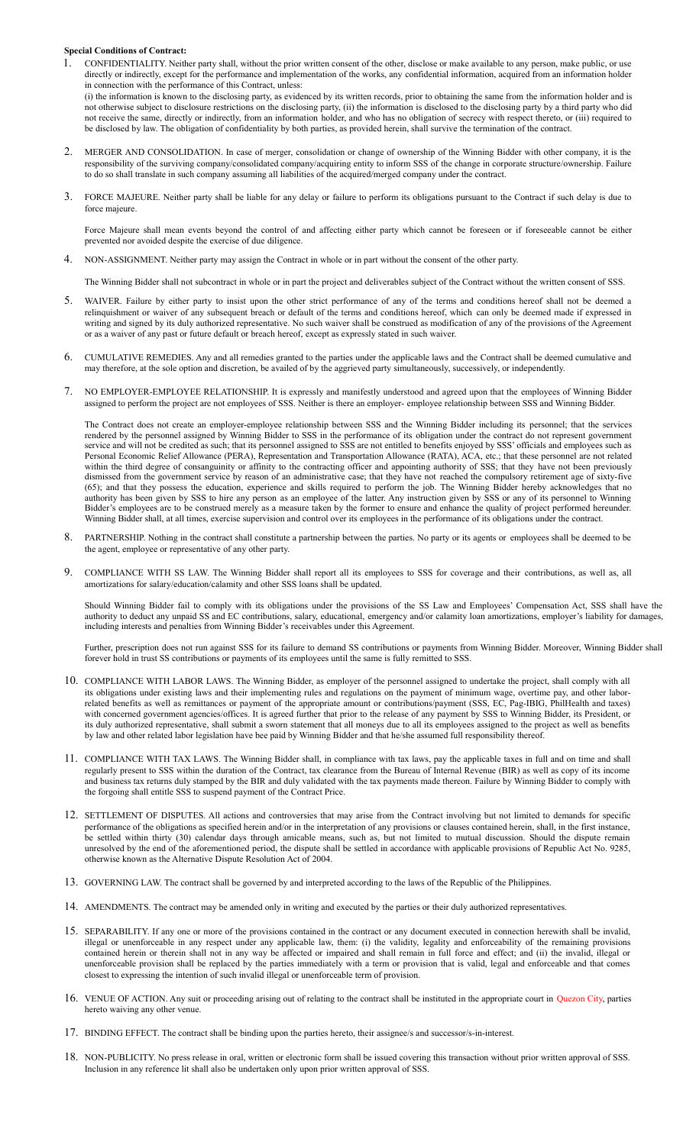## **Special Conditions of Contract:**

1. CONFIDENTIALITY. Neither party shall, without the prior written consent of the other, disclose or make available to any person, make public, or use directly or indirectly, except for the performance and implementation of the works, any confidential information, acquired from an information holder in connection with the performance of this Contract, unless:

(i) the information is known to the disclosing party, as evidenced by its written records, prior to obtaining the same from the information holder and is not otherwise subject to disclosure restrictions on the disclosing party, (ii) the information is disclosed to the disclosing party by a third party who did not receive the same, directly or indirectly, from an information holder, and who has no obligation of secrecy with respect thereto, or (iii) required to be disclosed by law. The obligation of confidentiality by both parties, as provided herein, shall survive the termination of the contract.

- 2. MERGER AND CONSOLIDATION. In case of merger, consolidation or change of ownership of the Winning Bidder with other company, it is the responsibility of the surviving company/consolidated company/acquiring entity to inform SSS of the change in corporate structure/ownership. Failure to do so shall translate in such company assuming all liabilities of the acquired/merged company under the contract.
- 3. FORCE MAJEURE. Neither party shall be liable for any delay or failure to perform its obligations pursuant to the Contract if such delay is due to force majeure.

Force Majeure shall mean events beyond the control of and affecting either party which cannot be foreseen or if foreseeable cannot be either prevented nor avoided despite the exercise of due diligence.

4. NON-ASSIGNMENT. Neither party may assign the Contract in whole or in part without the consent of the other party.

The Winning Bidder shall not subcontract in whole or in part the project and deliverables subject of the Contract without the written consent of SSS.

- 5. WAIVER. Failure by either party to insist upon the other strict performance of any of the terms and conditions hereof shall not be deemed a relinquishment or waiver of any subsequent breach or default of the terms and conditions hereof, which can only be deemed made if expressed in writing and signed by its duly authorized representative. No such waiver shall be construed as modification of any of the provisions of the Agreement or as a waiver of any past or future default or breach hereof, except as expressly stated in such waiver.
- 6. CUMULATIVE REMEDIES. Any and all remedies granted to the parties under the applicable laws and the Contract shall be deemed cumulative and may therefore, at the sole option and discretion, be availed of by the aggrieved party simultaneously, successively, or independently.
- 7. NO EMPLOYER-EMPLOYEE RELATIONSHIP. It is expressly and manifestly understood and agreed upon that the employees of Winning Bidder assigned to perform the project are not employees of SSS. Neither is there an employer- employee relationship between SSS and Winning Bidder.

The Contract does not create an employer-employee relationship between SSS and the Winning Bidder including its personnel; that the services rendered by the personnel assigned by Winning Bidder to SSS in the performance of its obligation under the contract do not represent government service and will not be credited as such; that its personnel assigned to SSS are not entitled to benefits enjoyed by SSS' officials and employees such as Personal Economic Relief Allowance (PERA), Representation and Transportation Allowance (RATA), ACA, etc.; that these personnel are not related within the third degree of consanguinity or affinity to the contracting officer and appointing authority of SSS; that they have not been previously dismissed from the government service by reason of an administrative case; that they have not reached the compulsory retirement age of sixty-five (65); and that they possess the education, experience and skills required to perform the job. The Winning Bidder hereby acknowledges that no authority has been given by SSS to hire any person as an employee of the latter. Any instruction given by SSS or any of its personnel to Winning Bidder's employees are to be construed merely as a measure taken by the former to ensure and enhance the quality of project performed hereunder. Winning Bidder shall, at all times, exercise supervision and control over its employees in the performance of its obligations under the contract.

- 8. PARTNERSHIP. Nothing in the contract shall constitute a partnership between the parties. No party or its agents or employees shall be deemed to be the agent, employee or representative of any other party.
- 9. COMPLIANCE WITH SS LAW. The Winning Bidder shall report all its employees to SSS for coverage and their contributions, as well as, all amortizations for salary/education/calamity and other SSS loans shall be updated.

Should Winning Bidder fail to comply with its obligations under the provisions of the SS Law and Employees' Compensation Act, SSS shall have the authority to deduct any unpaid SS and EC contributions, salary, educational, emergency and/or calamity loan amortizations, employer's liability for damages, including interests and penalties from Winning Bidder's receivables under this Agreement.

Further, prescription does not run against SSS for its failure to demand SS contributions or payments from Winning Bidder. Moreover, Winning Bidder shall forever hold in trust SS contributions or payments of its employees until the same is fully remitted to SSS.

- 10. COMPLIANCE WITH LABOR LAWS. The Winning Bidder, as employer of the personnel assigned to undertake the project, shall comply with all its obligations under existing laws and their implementing rules and regulations on the payment of minimum wage, overtime pay, and other laborrelated benefits as well as remittances or payment of the appropriate amount or contributions/payment (SSS, EC, Pag-IBIG, PhilHealth and taxes) with concerned government agencies/offices. It is agreed further that prior to the release of any payment by SSS to Winning Bidder, its President, or its duly authorized representative, shall submit a sworn statement that all moneys due to all its employees assigned to the project as well as benefits by law and other related labor legislation have bee paid by Winning Bidder and that he/she assumed full responsibility thereof.
- 11. COMPLIANCE WITH TAX LAWS. The Winning Bidder shall, in compliance with tax laws, pay the applicable taxes in full and on time and shall regularly present to SSS within the duration of the Contract, tax clearance from the Bureau of Internal Revenue (BIR) as well as copy of its income and business tax returns duly stamped by the BIR and duly validated with the tax payments made thereon. Failure by Winning Bidder to comply with the forgoing shall entitle SSS to suspend payment of the Contract Price.
- 12. SETTLEMENT OF DISPUTES. All actions and controversies that may arise from the Contract involving but not limited to demands for specific performance of the obligations as specified herein and/or in the interpretation of any provisions or clauses contained herein, shall, in the first instance, be settled within thirty (30) calendar days through amicable means, such as, but not limited to mutual discussion. Should the dispute remain unresolved by the end of the aforementioned period, the dispute shall be settled in accordance with applicable provisions of Republic Act No. 9285, otherwise known as the Alternative Dispute Resolution Act of 2004.
- 13. GOVERNING LAW. The contract shall be governed by and interpreted according to the laws of the Republic of the Philippines.
- 14. AMENDMENTS. The contract may be amended only in writing and executed by the parties or their duly authorized representatives.
- 15. SEPARABILITY. If any one or more of the provisions contained in the contract or any document executed in connection herewith shall be invalid, illegal or unenforceable in any respect under any applicable law, them: (i) the validity, legality and enforceability of the remaining provisions contained herein or therein shall not in any way be affected or impaired and shall remain in full force and effect; and (ii) the invalid, illegal or unenforceable provision shall be replaced by the parties immediately with a term or provision that is valid, legal and enforceable and that comes closest to expressing the intention of such invalid illegal or unenforceable term of provision.
- 16. VENUE OF ACTION. Any suit or proceeding arising out of relating to the contract shall be instituted in the appropriate court in Quezon City, parties hereto waiving any other venue.
- 17. BINDING EFFECT. The contract shall be binding upon the parties hereto, their assignee/s and successor/s-in-interest.
- 18. NON-PUBLICITY. No press release in oral, written or electronic form shall be issued covering this transaction without prior written approval of SSS. Inclusion in any reference lit shall also be undertaken only upon prior written approval of SSS.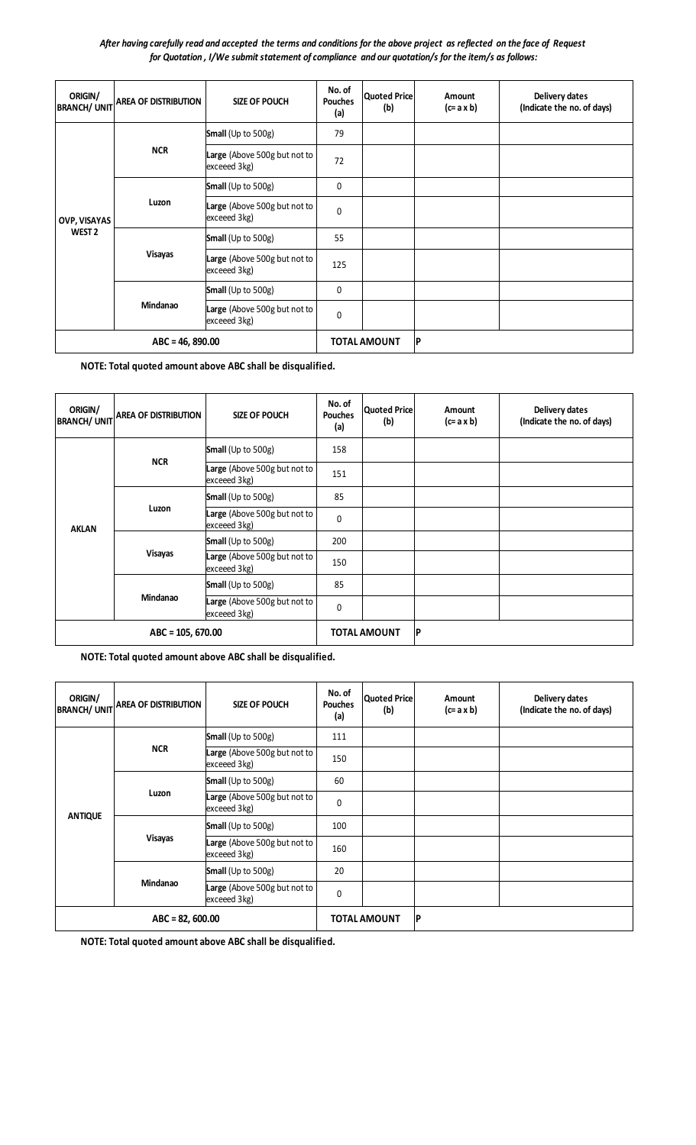*After having carefully read and accepted the terms and conditions for the above project as reflected on the face of Request for Quotation , I/We submit statement of compliance and our quotation/s for the item/s as follows:*

| ORIGIN/<br><b>BRANCH/ UNIT</b> | <b>AREA OF DISTRIBUTION</b> | <b>SIZE OF POUCH</b>                         | No. of<br><b>Pouches</b><br>(a) | Quoted Price<br>(b) | Amount<br>$(c=ax b)$ | Delivery dates<br>(Indicate the no. of days) |
|--------------------------------|-----------------------------|----------------------------------------------|---------------------------------|---------------------|----------------------|----------------------------------------------|
|                                | <b>NCR</b>                  | Small (Up to 500g)                           | 79                              |                     |                      |                                              |
|                                |                             | Large (Above 500g but not to<br>exceeed 3kg) | 72                              |                     |                      |                                              |
|                                | Luzon                       | <b>Small</b> (Up to $500g$ )                 | 0                               |                     |                      |                                              |
| OVP, VISAYAS                   |                             | Large (Above 500g but not to<br>exceeed 3kg) | $\Omega$                        |                     |                      |                                              |
| WEST <sub>2</sub>              |                             | Small (Up to 500g)                           | 55                              |                     |                      |                                              |
|                                | <b>Visayas</b>              | Large (Above 500g but not to<br>exceeed 3kg) | 125                             |                     |                      |                                              |
|                                | Mindanao                    | <b>Small</b> (Up to $500g$ )                 | $\mathbf 0$                     |                     |                      |                                              |
|                                |                             | Large (Above 500g but not to<br>exceeed 3kg) | $\mathbf{0}$                    |                     |                      |                                              |
| $ABC = 46, 890.00$             |                             |                                              |                                 | <b>TOTAL AMOUNT</b> | ΙP                   |                                              |

 **NOTE: Total quoted amount above ABC shall be disqualified.**

| ORIGIN/<br><b>BRANCH/ UNIT</b> | <b>AREA OF DISTRIBUTION</b> | <b>SIZE OF POUCH</b>                         | No. of<br><b>Pouches</b><br>(a) | Quoted Price<br>(b) | <b>Amount</b><br>$(c=ax b)$ | Delivery dates<br>(Indicate the no. of days) |
|--------------------------------|-----------------------------|----------------------------------------------|---------------------------------|---------------------|-----------------------------|----------------------------------------------|
|                                |                             | <b>Small</b> (Up to 500g)                    | 158                             |                     |                             |                                              |
|                                | <b>NCR</b>                  | Large (Above 500g but not to<br>exceeed 3kg) | 151                             |                     |                             |                                              |
|                                |                             | Small (Up to 500g)                           | 85                              |                     |                             |                                              |
| <b>AKLAN</b>                   | Luzon                       | Large (Above 500g but not to<br>exceeed 3kg) | 0                               |                     |                             |                                              |
|                                |                             | <b>Small</b> (Up to $500g$ )                 | 200                             |                     |                             |                                              |
|                                | <b>Visayas</b>              | Large (Above 500g but not to<br>exceeed 3kg) | 150                             |                     |                             |                                              |
|                                | Mindanao                    | <b>Small</b> (Up to $500g$ )                 | 85                              |                     |                             |                                              |
|                                |                             | Large (Above 500g but not to<br>exceeed 3kg) | $\Omega$                        |                     |                             |                                              |
| $ABC = 105, 670.00$            |                             |                                              |                                 | <b>TOTAL AMOUNT</b> | ∣P                          |                                              |

 **NOTE: Total quoted amount above ABC shall be disqualified.**

| ORIGIN/           | BRANCH/ UNIT AREA OF DISTRIBUTION | <b>SIZE OF POUCH</b>                         | No. of<br><b>Pouches</b><br>(a) | Quoted Price<br>(b) | Amount<br>$(c=ax b)$ | Delivery dates<br>(Indicate the no. of days) |
|-------------------|-----------------------------------|----------------------------------------------|---------------------------------|---------------------|----------------------|----------------------------------------------|
|                   |                                   | Small (Up to 500g)                           | 111                             |                     |                      |                                              |
|                   | <b>NCR</b>                        | Large (Above 500g but not to<br>exceeed 3kg) | 150                             |                     |                      |                                              |
|                   |                                   | Small (Up to 500g)                           | 60                              |                     |                      |                                              |
| <b>ANTIQUE</b>    | Luzon                             | Large (Above 500g but not to<br>exceeed 3kg) | $\mathbf{0}$                    |                     |                      |                                              |
|                   |                                   | Small (Up to 500g)                           | 100                             |                     |                      |                                              |
|                   | <b>Visayas</b>                    | Large (Above 500g but not to<br>exceeed 3kg) | 160                             |                     |                      |                                              |
|                   | Mindanao                          | Small (Up to 500g)                           | 20                              |                     |                      |                                              |
|                   |                                   | Large (Above 500g but not to<br>exceeed 3kg) | $\mathbf{0}$                    |                     |                      |                                              |
| $ABC = 82,600.00$ |                                   |                                              |                                 | <b>TOTAL AMOUNT</b> | ∣P                   |                                              |

 **NOTE: Total quoted amount above ABC shall be disqualified.**